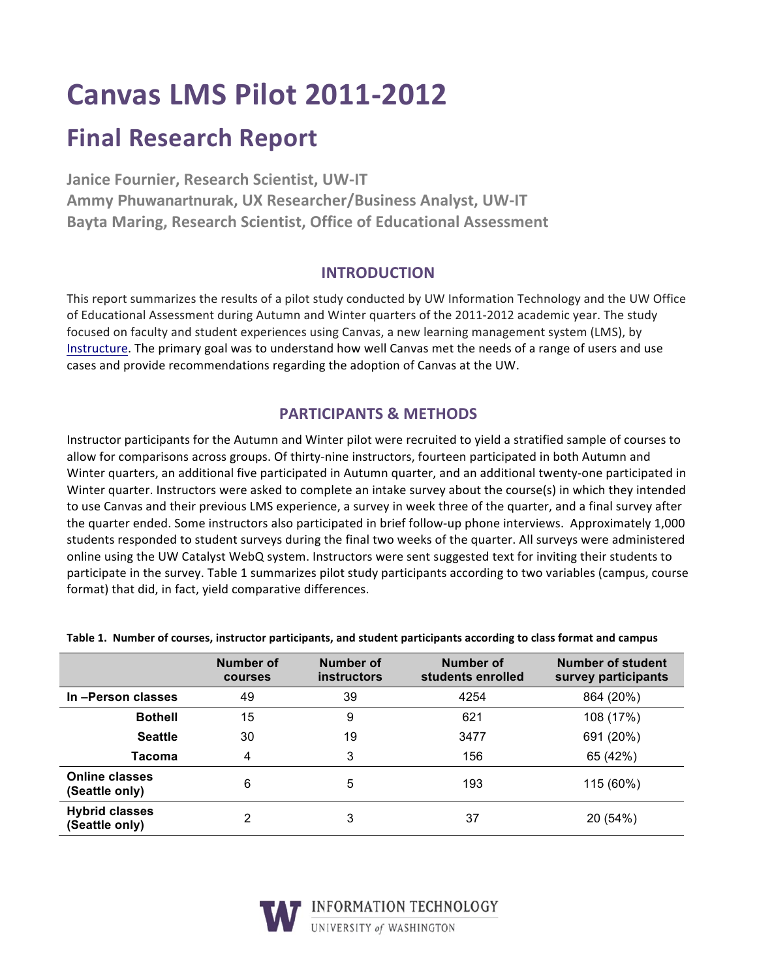# **Canvas LMS Pilot 2011-2012**

# **Final Research Report**

**Janice Fournier, Research Scientist, UW-IT Ammy Phuwanartnurak, UX Researcher/Business Analyst, UW-IT Bayta Maring, Research Scientist, Office of Educational Assessment** 

## **INTRODUCTION**

This report summarizes the results of a pilot study conducted by UW Information Technology and the UW Office of Educational Assessment during Autumn and Winter quarters of the 2011-2012 academic year. The study focused on faculty and student experiences using Canvas, a new learning management system (LMS), by Instructure. The primary goal was to understand how well Canvas met the needs of a range of users and use cases and provide recommendations regarding the adoption of Canvas at the UW.

# **PARTICIPANTS & METHODS**

Instructor participants for the Autumn and Winter pilot were recruited to yield a stratified sample of courses to allow for comparisons across groups. Of thirty-nine instructors, fourteen participated in both Autumn and Winter quarters, an additional five participated in Autumn quarter, and an additional twenty-one participated in Winter quarter. Instructors were asked to complete an intake survey about the course(s) in which they intended to use Canvas and their previous LMS experience, a survey in week three of the quarter, and a final survey after the quarter ended. Some instructors also participated in brief follow-up phone interviews. Approximately 1,000 students responded to student surveys during the final two weeks of the quarter. All surveys were administered online using the UW Catalyst WebQ system. Instructors were sent suggested text for inviting their students to participate in the survey. Table 1 summarizes pilot study participants according to two variables (campus, course format) that did, in fact, yield comparative differences.

|                                         | Number of<br><b>courses</b> | Number of<br><b>instructors</b> | <b>Number of</b><br>students enrolled | Number of student<br>survey participants |
|-----------------------------------------|-----------------------------|---------------------------------|---------------------------------------|------------------------------------------|
| In-Person classes                       | 49                          | 39                              | 4254                                  | 864 (20%)                                |
| <b>Bothell</b>                          | 15                          | 9                               | 621                                   | 108 (17%)                                |
| <b>Seattle</b>                          | 30                          | 19                              | 3477                                  | 691 (20%)                                |
| Tacoma                                  | 4                           | 3                               | 156                                   | 65 (42%)                                 |
| <b>Online classes</b><br>(Seattle only) | 6                           | 5                               | 193                                   | 115 (60%)                                |
| <b>Hybrid classes</b><br>(Seattle only) | 2                           | 3                               | 37                                    | 20 (54%)                                 |

#### Table 1. Number of courses, instructor participants, and student participants according to class format and campus



T INFORMATION TECHNOLOGY UNIVERSITY of WASHINGTON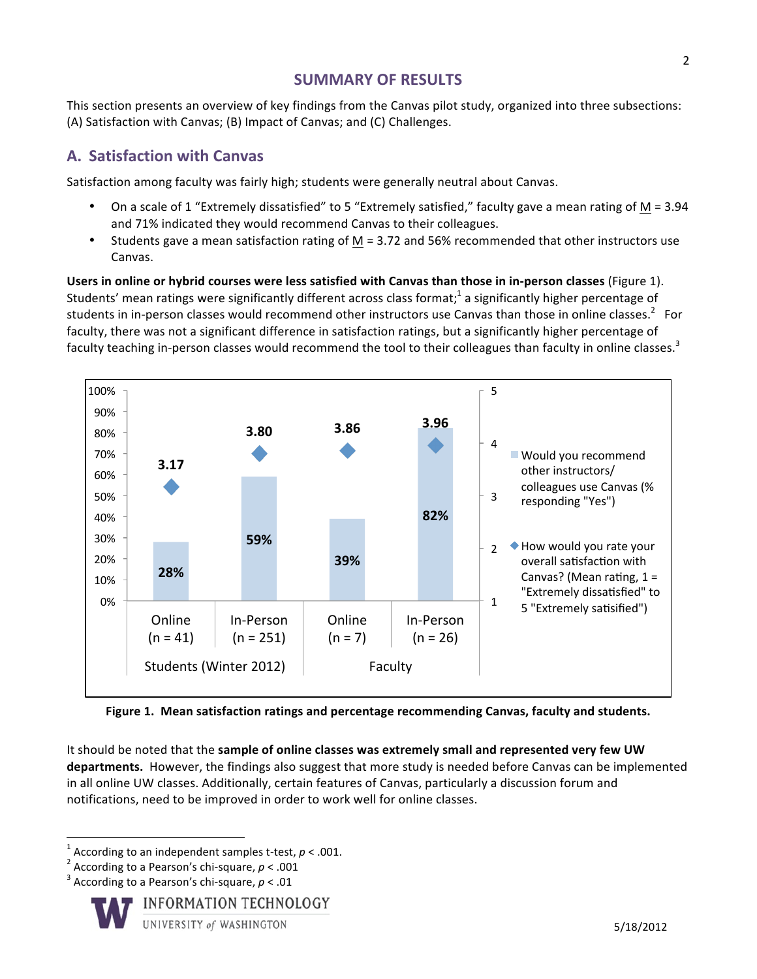# **SUMMARY OF RESULTS**

This section presents an overview of key findings from the Canvas pilot study, organized into three subsections: (A) Satisfaction with Canvas; (B) Impact of Canvas; and (C) Challenges.

# **A. Satisfaction with Canvas**

Satisfaction among faculty was fairly high; students were generally neutral about Canvas.

- On a scale of 1 "Extremely dissatisfied" to 5 "Extremely satisfied," faculty gave a mean rating of M = 3.94 and 71% indicated they would recommend Canvas to their colleagues.
- Students gave a mean satisfaction rating of M = 3.72 and 56% recommended that other instructors use Canvas.

**Users in online or hybrid courses were less satisfied with Canvas than those in in-person classes** (Figure 1). Students' mean ratings were significantly different across class format;<sup>1</sup> a significantly higher percentage of students in in-person classes would recommend other instructors use Canvas than those in online classes.<sup>2</sup> For faculty, there was not a significant difference in satisfaction ratings, but a significantly higher percentage of faculty teaching in-person classes would recommend the tool to their colleagues than faculty in online classes.<sup>3</sup>



Figure 1. Mean satisfaction ratings and percentage recommending Canvas, faculty and students.

It should be noted that the **sample of online classes was extremely small and represented very few UW** departments. However, the findings also suggest that more study is needed before Canvas can be implemented in all online UW classes. Additionally, certain features of Canvas, particularly a discussion forum and notifications, need to be improved in order to work well for online classes.

<u> 1989 - Johann Stein, fransk politik (d. 1989)</u>



<sup>&</sup>lt;sup>1</sup> According to an independent samples t-test,  $p < .001$ .<br><sup>2</sup> According to a Pearson's chi-square,  $p < .001$ <br><sup>3</sup> According to a Pearson's chi-square,  $p < .01$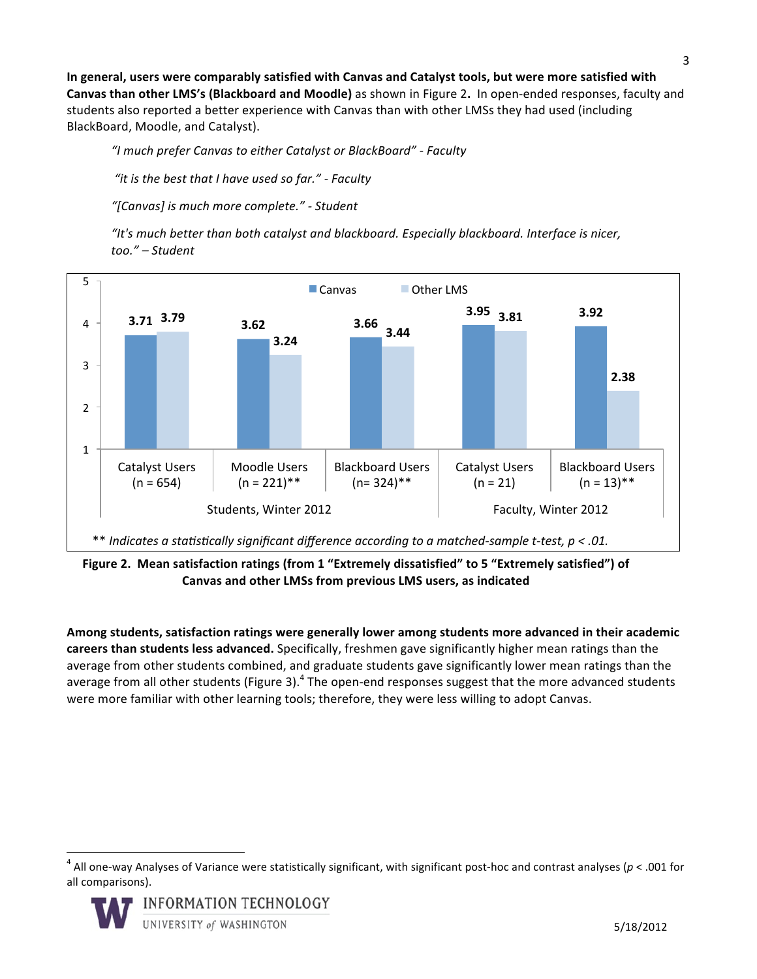In general, users were comparably satisfied with Canvas and Catalyst tools, but were more satisfied with **Canvas than other LMS's (Blackboard and Moodle)** as shown in Figure 2. In open-ended responses, faculty and students also reported a better experience with Canvas than with other LMSs they had used (including BlackBoard, Moodle, and Catalyst).

*"I much prefer Canvas to either Catalyst or BlackBoard" - Faculty*

"*it is the best that I have used so far." - Faculty* 

*"[Canvas] is much more complete." - Student*

"It's much better than both catalyst and blackboard. Especially blackboard. Interface is nicer, *too." – Student*



Figure 2. Mean satisfaction ratings (from 1 "Extremely dissatisfied" to 5 "Extremely satisfied") of Canvas and other LMSs from previous LMS users, as indicated

Among students, satisfaction ratings were generally lower among students more advanced in their academic **careers than students less advanced.** Specifically, freshmen gave significantly higher mean ratings than the average from other students combined, and graduate students gave significantly lower mean ratings than the average from all other students (Figure 3).<sup>4</sup> The open-end responses suggest that the more advanced students were more familiar with other learning tools; therefore, they were less willing to adopt Canvas.

 $4$  All one-way Analyses of Variance were statistically significant, with significant post-hoc and contrast analyses ( $p < .001$  for all comparisons).



<u> 1989 - Johann Stein, fransk politik (d. 1989)</u>

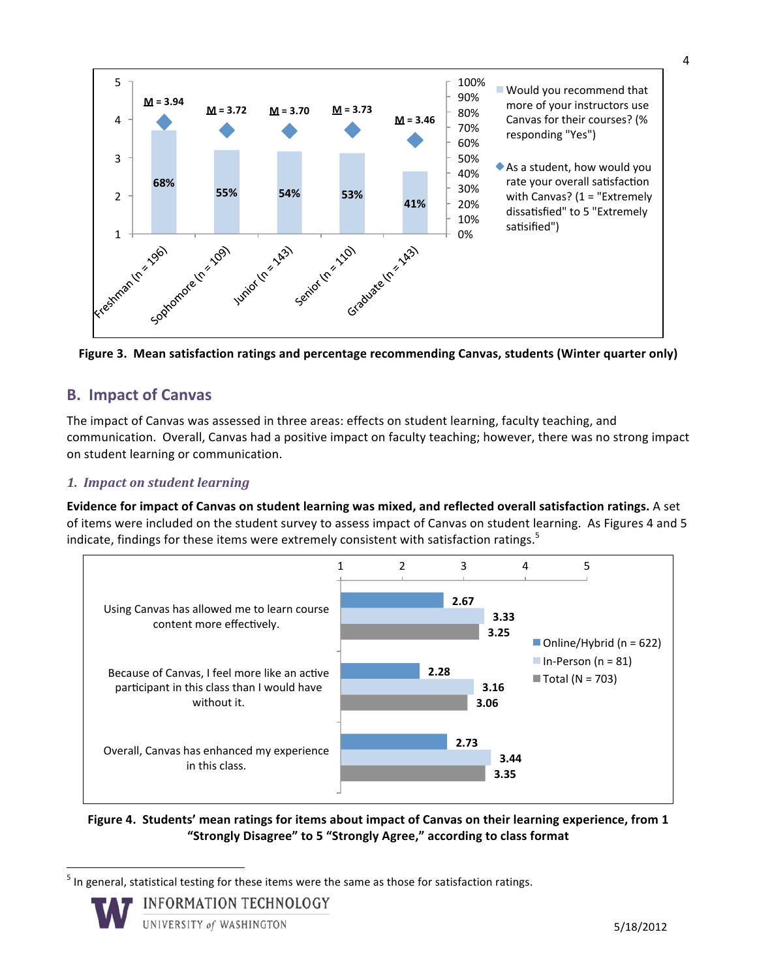

Figure 3. Mean satisfaction ratings and percentage recommending Canvas, students (Winter quarter only)

# **B. Impact of Canvas**

The impact of Canvas was assessed in three areas: effects on student learning, faculty teaching, and communication. Overall, Canvas had a positive impact on faculty teaching; however, there was no strong impact on student learning or communication.

#### *1. Impact on student learning*

**Evidence for impact of Canvas on student learning was mixed, and reflected overall satisfaction ratings.** A set of items were included on the student survey to assess impact of Canvas on student learning. As Figures 4 and 5 indicate, findings for these items were extremely consistent with satisfaction ratings.<sup>5</sup>



Figure 4. Students' mean ratings for items about impact of Canvas on their learning experience, from 1 "Strongly Disagree" to 5 "Strongly Agree," according to class format

 $<sup>5</sup>$  In general, statistical testing for these items were the same as those for satisfaction ratings.</sup>



<u> 1989 - Johann Stein, fransk politik (d. 1989)</u>

**INFORMATION TECHNOLOGY** 

UNIVERSITY of WASHINGTON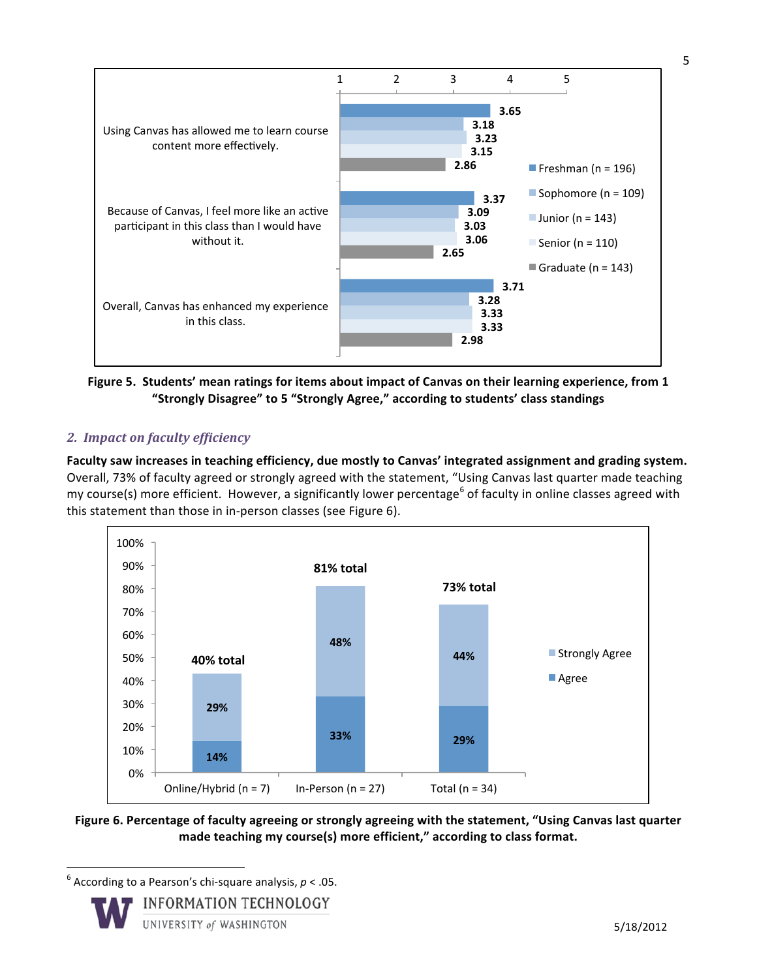

Figure 5. Students' mean ratings for items about impact of Canvas on their learning experience, from 1 "Strongly Disagree" to 5 "Strongly Agree," according to students' class standings

#### *2. Impact on faculty efficiency*

Faculty saw increases in teaching efficiency, due mostly to Canvas' integrated assignment and grading system. Overall, 73% of faculty agreed or strongly agreed with the statement, "Using Canvas last quarter made teaching my course(s) more efficient. However, a significantly lower percentage<sup>6</sup> of faculty in online classes agreed with this statement than those in in-person classes (see Figure 6).



Figure 6. Percentage of faculty agreeing or strongly agreeing with the statement, "Using Canvas last quarter made teaching my course(s) more efficient," according to class format.

 $^6$  According to a Pearson's chi-square analysis,  $p < .05$ .

<u> 1989 - Johann Stein, fransk politik (d. 1989)</u>



5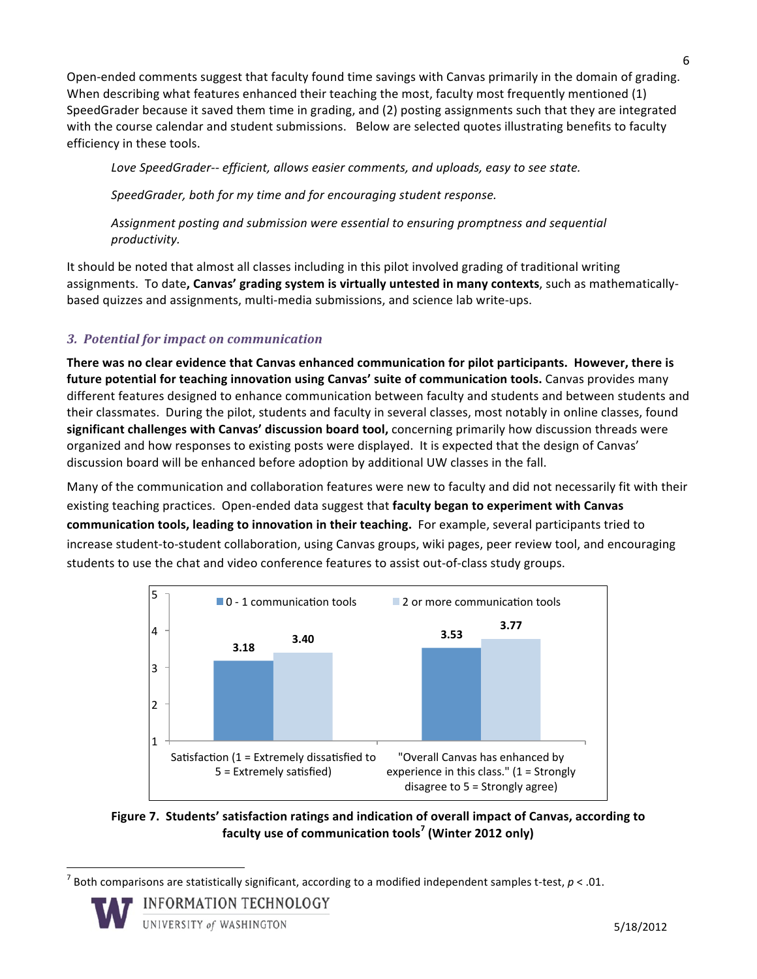Open-ended comments suggest that faculty found time savings with Canvas primarily in the domain of grading. When describing what features enhanced their teaching the most, faculty most frequently mentioned (1) SpeedGrader because it saved them time in grading, and (2) posting assignments such that they are integrated with the course calendar and student submissions. Below are selected quotes illustrating benefits to faculty efficiency in these tools.

Love SpeedGrader-- *efficient, allows easier comments, and uploads, easy to see state.* 

SpeedGrader, both for my time and for encouraging student response.

Assignment posting and submission were essential to ensuring promptness and sequential *productivity.*

It should be noted that almost all classes including in this pilot involved grading of traditional writing assignments. To date, Canvas' grading system is virtually untested in many contexts, such as mathematicallybased quizzes and assignments, multi-media submissions, and science lab write-ups.

## *3. Potential for impact on communication*

There was no clear evidence that Canvas enhanced communication for pilot participants. However, there is future potential for teaching innovation using Canvas' suite of communication tools. Canvas provides many different features designed to enhance communication between faculty and students and between students and their classmates. During the pilot, students and faculty in several classes, most notably in online classes, found significant challenges with Canvas' discussion board tool, concerning primarily how discussion threads were organized and how responses to existing posts were displayed. It is expected that the design of Canvas' discussion board will be enhanced before adoption by additional UW classes in the fall.

Many of the communication and collaboration features were new to faculty and did not necessarily fit with their existing teaching practices. Open-ended data suggest that **faculty began to experiment with Canvas communication tools, leading to innovation in their teaching.** For example, several participants tried to increase student-to-student collaboration, using Canvas groups, wiki pages, peer review tool, and encouraging students to use the chat and video conference features to assist out-of-class study groups.



Figure 7. Students' satisfaction ratings and indication of overall impact of Canvas, according to **faculty use of communication tools<sup>7</sup> (Winter 2012 only)** 

Both comparisons are statistically significant, according to a modified independent samples t-test,  $p < .01$ .



<u> 1989 - Johann Stein, fransk politik (d. 1989)</u>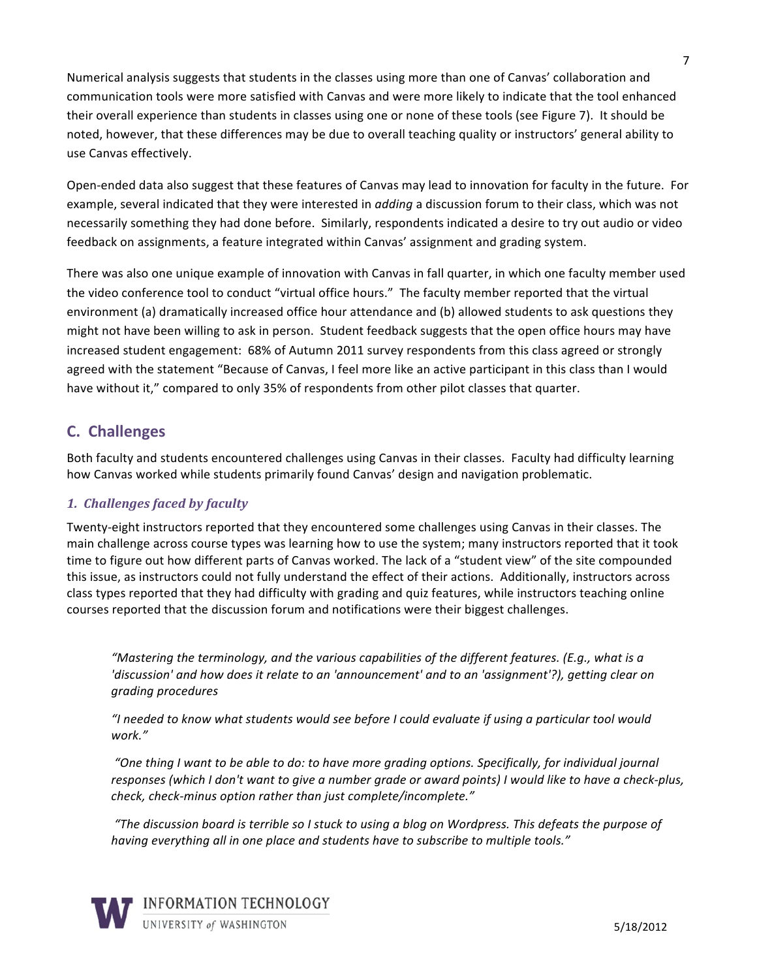Numerical analysis suggests that students in the classes using more than one of Canvas' collaboration and communication tools were more satisfied with Canvas and were more likely to indicate that the tool enhanced their overall experience than students in classes using one or none of these tools (see Figure 7). It should be noted, however, that these differences may be due to overall teaching quality or instructors' general ability to use Canvas effectively.

Open-ended data also suggest that these features of Canvas may lead to innovation for faculty in the future. For example, several indicated that they were interested in *adding* a discussion forum to their class, which was not necessarily something they had done before. Similarly, respondents indicated a desire to try out audio or video feedback on assignments, a feature integrated within Canvas' assignment and grading system.

There was also one unique example of innovation with Canvas in fall quarter, in which one faculty member used the video conference tool to conduct "virtual office hours." The faculty member reported that the virtual environment (a) dramatically increased office hour attendance and (b) allowed students to ask questions they might not have been willing to ask in person. Student feedback suggests that the open office hours may have increased student engagement: 68% of Autumn 2011 survey respondents from this class agreed or strongly agreed with the statement "Because of Canvas, I feel more like an active participant in this class than I would have without it," compared to only 35% of respondents from other pilot classes that quarter.

# **C. Challenges**

Both faculty and students encountered challenges using Canvas in their classes. Faculty had difficulty learning how Canvas worked while students primarily found Canvas' design and navigation problematic.

#### *1. Challenges faced by faculty*

Twenty-eight instructors reported that they encountered some challenges using Canvas in their classes. The main challenge across course types was learning how to use the system; many instructors reported that it took time to figure out how different parts of Canvas worked. The lack of a "student view" of the site compounded this issue, as instructors could not fully understand the effect of their actions. Additionally, instructors across class types reported that they had difficulty with grading and quiz features, while instructors teaching online courses reported that the discussion forum and notifications were their biggest challenges.

*"Mastering the terminology, and the various capabilities of the different features. (E.g., what is a 'discussion'* and how does it relate to an 'announcement' and to an 'assignment'?), getting clear on *grading procedures*

*"I needed to know what students would see before I could evaluate if using a particular tool would work."*

"One thing I want to be able to do: to have more grading options. Specifically, for individual journal responses (which I don't want to give a number grade or award points) I would like to have a check-plus, *check, check-minus option rather than just complete/incomplete."* 

*"The discussion board is terrible so I stuck to using a blog on Wordpress. This defeats the purpose of*  having everything all in one place and students have to subscribe to multiple tools."